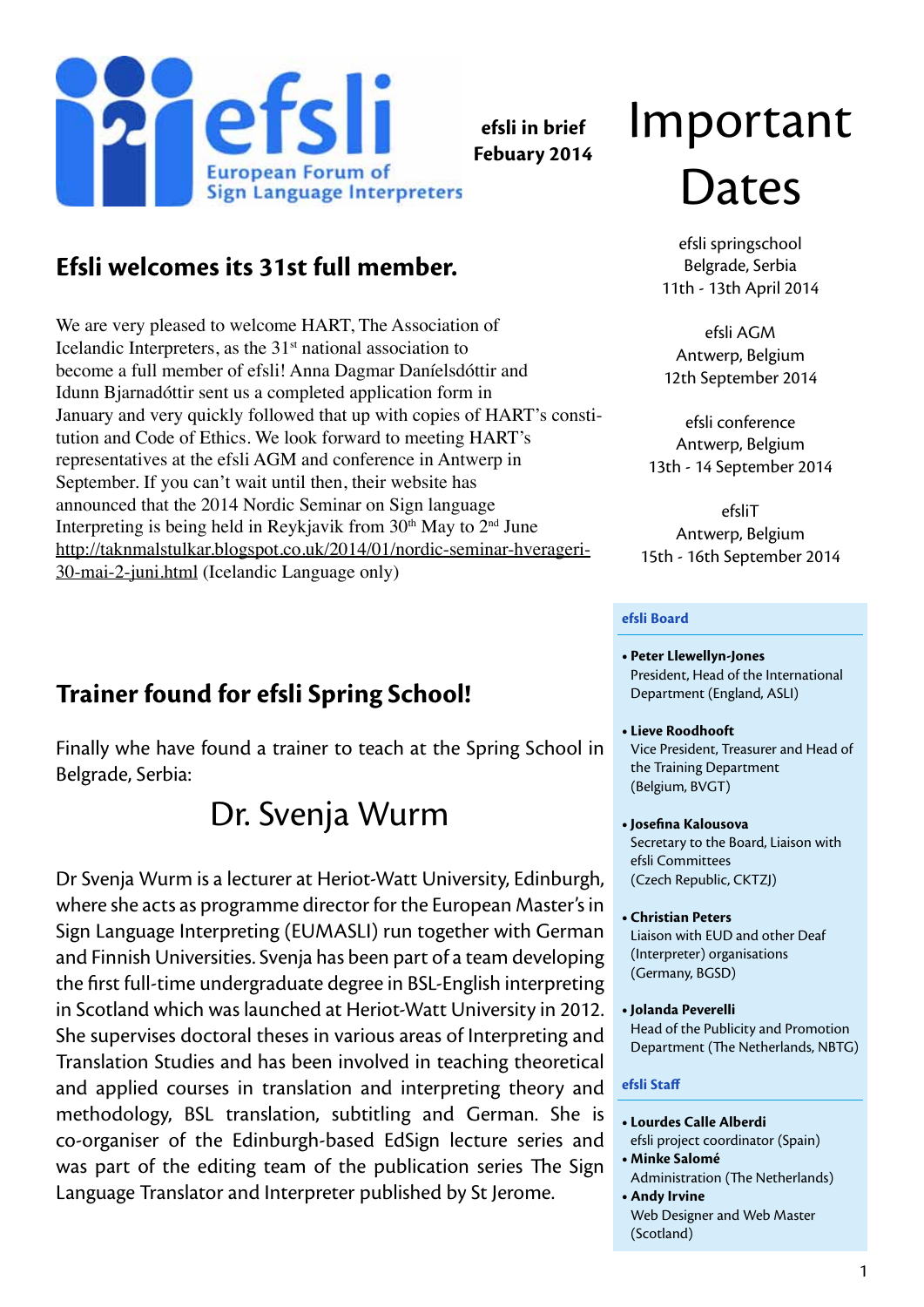

**efsli in brief Febuary 2014**

# Important )ates

efsli springschool Belgrade, Serbia 11th - 13th April 2014

efsli AGM Antwerp, Belgium 12th September 2014

efsli conference Antwerp, Belgium 13th - 14 September 2014

efsliT Antwerp, Belgium 15th - 16th September 2014

#### **efsli Board**

- **• Peter Llewellyn-Jones** President, Head of the International Department (England, ASLI)
- **• Lieve Roodhooft** Vice President, Treasurer and Head of the Training Department (Belgium, BVGT)
- **• Josefina Kalousova** Secretary to the Board, Liaison with efsli Committees (Czech Republic, CKTZJ)
- **• Christian Peters**  Liaison with EUD and other Deaf (Interpreter) organisations (Germany, BGSD)
- **• Jolanda Peverelli** Head of the Publicity and Promotion Department (The Netherlands, NBTG)

#### **efsli Staff**

- **• Lourdes Calle Alberdi**
- efsli project coordinator (Spain) **• Minke Salomé** Administration (The Netherlands)
- **Andy Irvine** Web Designer and Web Master (Scotland)

# **Efsli welcomes its 31st full member.**

We are very pleased to welcome HART, The Association of Icelandic Interpreters, as the  $31<sup>st</sup>$  national association to become a full member of efsli! Anna Dagmar Daníelsdóttir and Idunn Bjarnadóttir sent us a completed application form in January and very quickly followed that up with copies of HART's constitution and Code of Ethics. We look forward to meeting HART's representatives at the efsli AGM and conference in Antwerp in September. If you can't wait until then, their website has announced that the 2014 Nordic Seminar on Sign language Interpreting is being held in Reykjavik from  $30<sup>th</sup>$  May to  $2<sup>nd</sup>$  June [http://taknmalstulkar.blogspot.co.uk/2014/01/nordic-seminar-hverageri-](http://taknmalstulkar.blogspot.co.uk/2014/01/nordic-seminar-hverageri-30-mai-2-juni.html)[30-mai-2-juni.html](http://taknmalstulkar.blogspot.co.uk/2014/01/nordic-seminar-hverageri-30-mai-2-juni.html) (Icelandic Language only)

#### **Trainer found for efsli Spring School!**

Finally whe have found a trainer to teach at the Spring School in Belgrade, Serbia:

# Dr. Svenja Wurm

Dr Svenja Wurm is a lecturer at Heriot-Watt University, Edinburgh, where she acts as programme director for the European Master's in Sign Language Interpreting (EUMASLI) run together with German and Finnish Universities. Svenja has been part of a team developing the first full-time undergraduate degree in BSL-English interpreting in Scotland which was launched at Heriot-Watt University in 2012. She supervises doctoral theses in various areas of Interpreting and Translation Studies and has been involved in teaching theoretical and applied courses in translation and interpreting theory and methodology, BSL translation, subtitling and German. She is co-organiser of the Edinburgh-based EdSign lecture series and was part of the editing team of the publication series The Sign Language Translator and Interpreter published by St Jerome.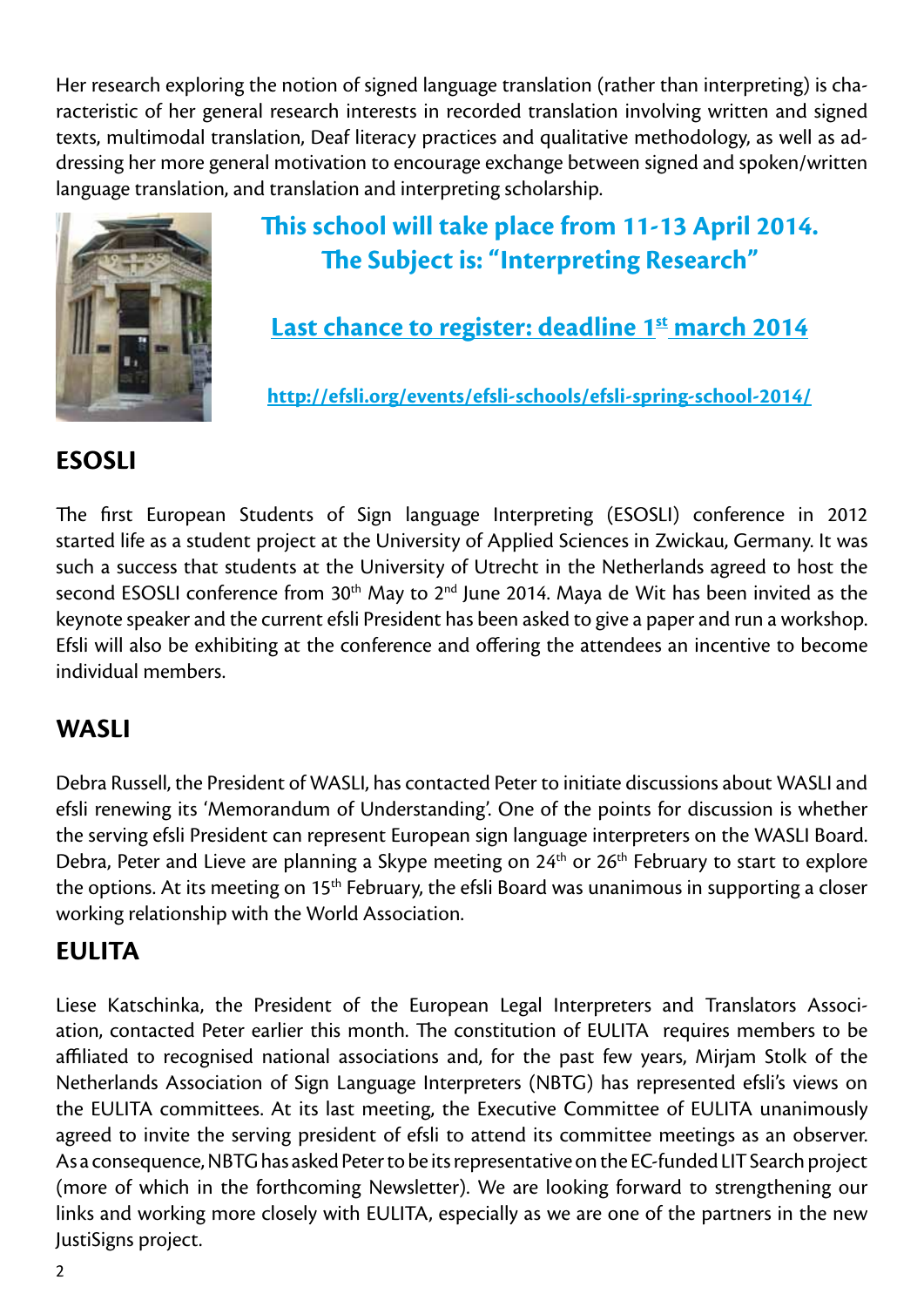Her research exploring the notion of signed language translation (rather than interpreting) is characteristic of her general research interests in recorded translation involving written and signed texts, multimodal translation, Deaf literacy practices and qualitative methodology, as well as addressing her more general motivation to encourage exchange between signed and spoken/written language translation, and translation and interpreting scholarship.



## **This school will take place from 11-13 April 2014. The Subject is: "Interpreting Research"**

#### Last chance to register: deadline 1st march 2014

**<http://efsli.org/events/efsli-schools/efsli-spring-school-2014/>**

#### **ESOSLI**

The first European Students of Sign language Interpreting (ESOSLI) conference in 2012 started life as a student project at the University of Applied Sciences in Zwickau, Germany. It was such a success that students at the University of Utrecht in the Netherlands agreed to host the second ESOSLI conference from  $30<sup>th</sup>$  May to  $2<sup>nd</sup>$  June 2014. Maya de Wit has been invited as the keynote speaker and the current efsli President has been asked to give a paper and run a workshop. Efsli will also be exhibiting at the conference and offering the attendees an incentive to become individual members.

#### **WASLI**

Debra Russell, the President of WASLI, has contacted Peter to initiate discussions about WASLI and efsli renewing its 'Memorandum of Understanding'. One of the points for discussion is whether the serving efsli President can represent European sign language interpreters on the WASLI Board. Debra, Peter and Lieve are planning a Skype meeting on 24<sup>th</sup> or 26<sup>th</sup> February to start to explore the options. At its meeting on 15<sup>th</sup> February, the efsli Board was unanimous in supporting a closer working relationship with the World Association.

#### **EULITA**

Liese Katschinka, the President of the European Legal Interpreters and Translators Association, contacted Peter earlier this month. The constitution of EULITA requires members to be affiliated to recognised national associations and, for the past few years, Mirjam Stolk of the Netherlands Association of Sign Language Interpreters (NBTG) has represented efsli's views on the EULITA committees. At its last meeting, the Executive Committee of EULITA unanimously agreed to invite the serving president of efsli to attend its committee meetings as an observer. As a consequence, NBTG has asked Peter to be its representative on the EC-funded LIT Search project (more of which in the forthcoming Newsletter). We are looking forward to strengthening our links and working more closely with EULITA, especially as we are one of the partners in the new JustiSigns project.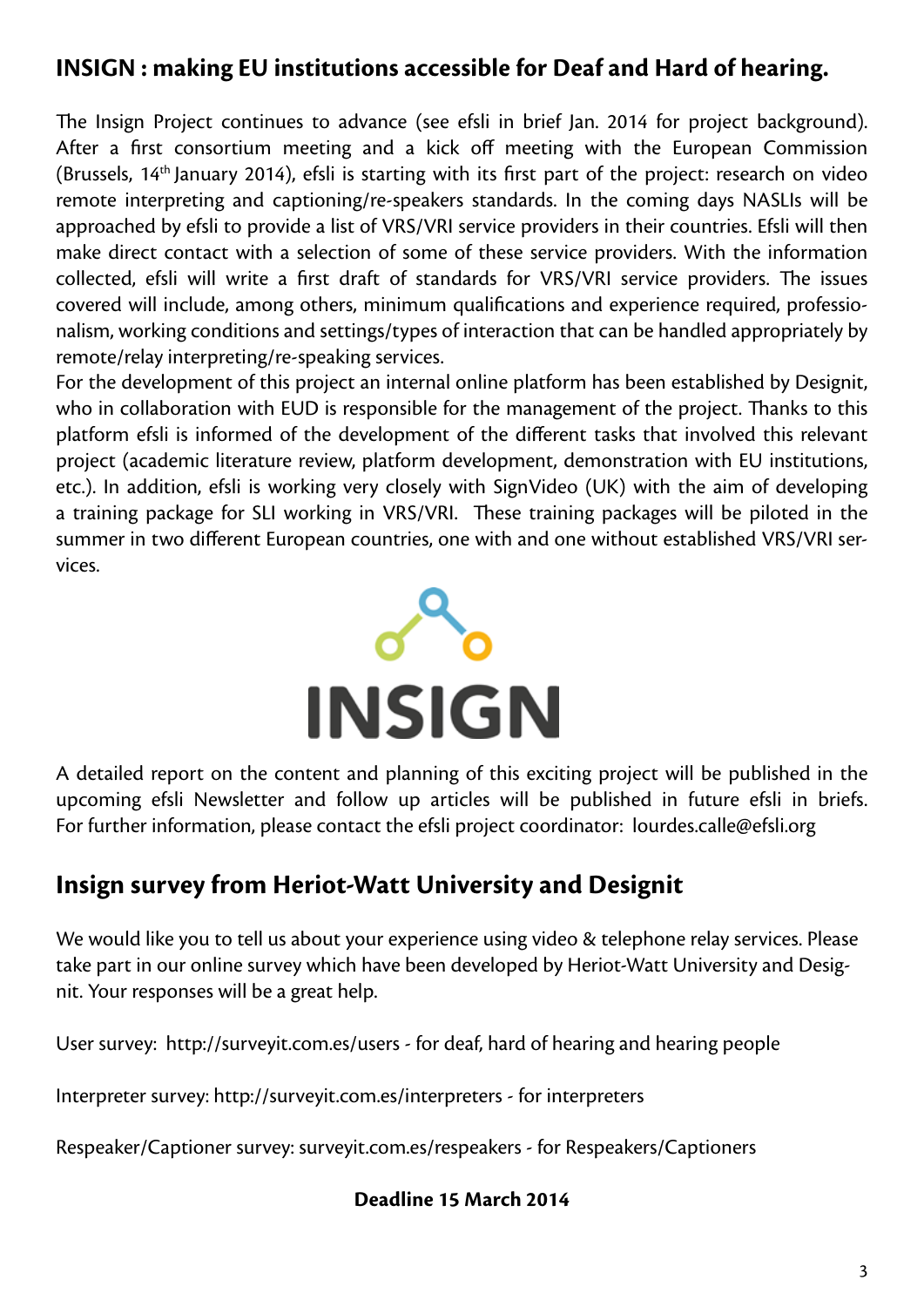#### **INSIGN : making EU institutions accessible for Deaf and Hard of hearing.**

The Insign Project continues to advance (see efsli in brief Jan. 2014 for project background). After a first consortium meeting and a kick off meeting with the European Commission (Brussels, 14th January 2014), efsli is starting with its first part of the project: research on video remote interpreting and captioning/re-speakers standards. In the coming days NASLIs will be approached by efsli to provide a list of VRS/VRI service providers in their countries. Efsli will then make direct contact with a selection of some of these service providers. With the information collected, efsli will write a first draft of standards for VRS/VRI service providers. The issues covered will include, among others, minimum qualifications and experience required, professionalism, working conditions and settings/types of interaction that can be handled appropriately by remote/relay interpreting/re-speaking services.

For the development of this project an internal online platform has been established by Designit, who in collaboration with EUD is responsible for the management of the project. Thanks to this platform efsli is informed of the development of the different tasks that involved this relevant project (academic literature review, platform development, demonstration with EU institutions, etc.). In addition, efsli is working very closely with SignVideo (UK) with the aim of developing a training package for SLI working in VRS/VRI. These training packages will be piloted in the summer in two different European countries, one with and one without established VRS/VRI services.



A detailed report on the content and planning of this exciting project will be published in the upcoming efsli Newsletter and follow up articles will be published in future efsli in briefs. For further information, please contact the efsli project coordinator: [lourdes.calle@efsli.org](mailto:lourdes.calle@efsli.org )

#### **Insign survey from Heriot-Watt University and Designit**

We would like you to tell us about your experience using video & telephone relay services. Please take part in our online survey which have been developed by Heriot-Watt University and Designit. Your responses will be a great help.

User survey: <http://surveyit.com.es/users>- for deaf, hard of hearing and hearing people

Interpreter survey: <http://surveyit.com.es/interpreters>- for interpreters

Respeaker/Captioner survey: <surveyit.com.es/respeakers> - for Respeakers/Captioners

#### **Deadline 15 March 2014**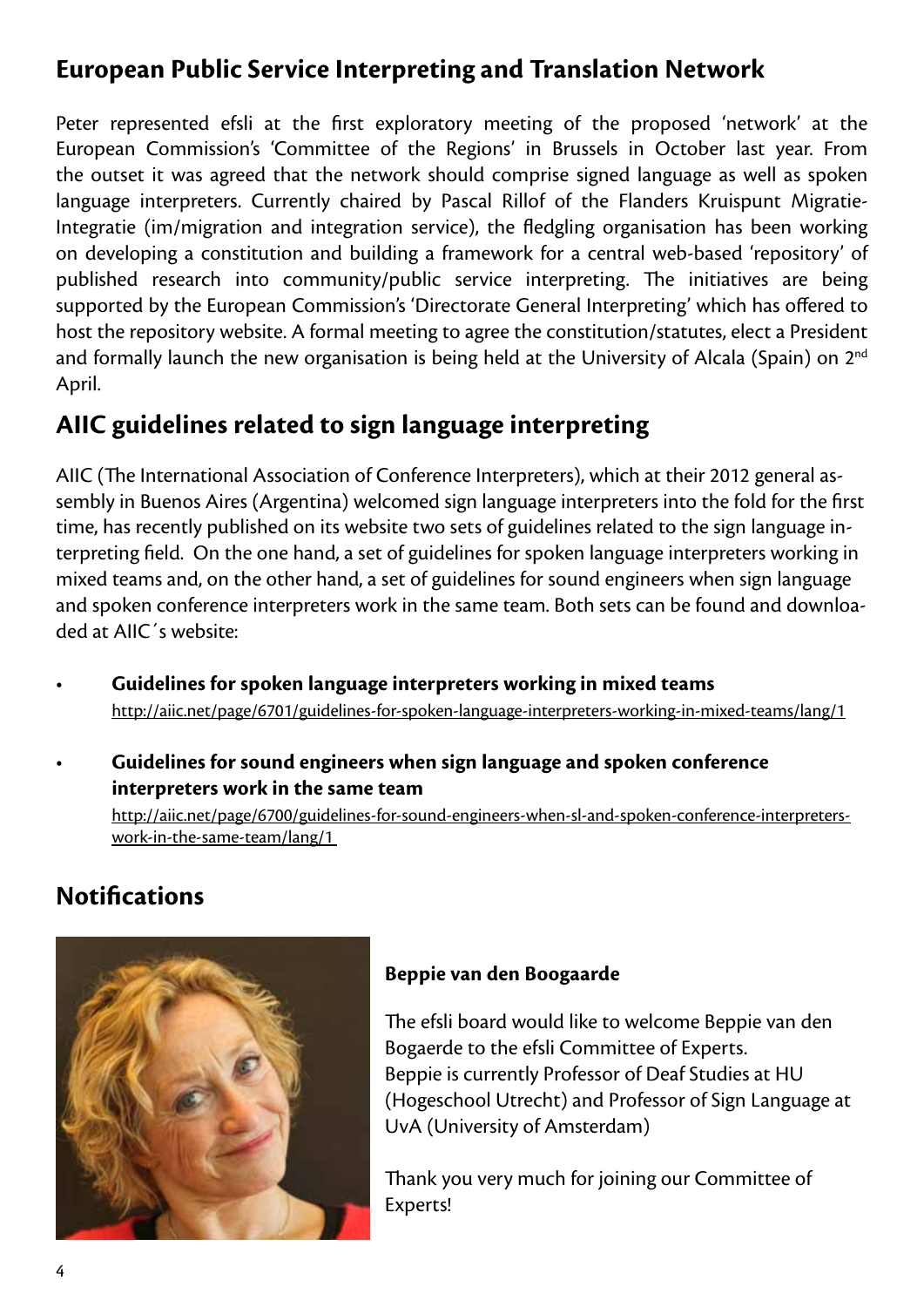#### **European Public Service Interpreting and Translation Network**

Peter represented efsli at the first exploratory meeting of the proposed 'network' at the European Commission's 'Committee of the Regions' in Brussels in October last year. From the outset it was agreed that the network should comprise signed language as well as spoken language interpreters. Currently chaired by Pascal Rillof of the Flanders Kruispunt Migratie-Integratie (im/migration and integration service), the fledgling organisation has been working on developing a constitution and building a framework for a central web-based 'repository' of published research into community/public service interpreting. The initiatives are being supported by the European Commission's 'Directorate General Interpreting' which has offered to host the repository website. A formal meeting to agree the constitution/statutes, elect a President and formally launch the new organisation is being held at the University of Alcala (Spain) on 2<sup>nd</sup> April.

#### **AIIC guidelines related to sign language interpreting**

AIIC (The International Association of Conference Interpreters), which at their 2012 general assembly in Buenos Aires (Argentina) welcomed sign language interpreters into the fold for the first time, has recently published on its website two sets of guidelines related to the sign language interpreting field. On the one hand, a set of guidelines for spoken language interpreters working in mixed teams and, on the other hand, a set of guidelines for sound engineers when sign language and spoken conference interpreters work in the same team. Both sets can be found and downloaded at AIIC´s website:

- **Guidelines for spoken language interpreters working in mixed teams** [http://aiic.net/page/6701/guidelines-for-spoken-language-interpreters-working-in-mixed-teams/lang/1](http://aiic.net/page/6701/guidelines-for-spoken-language-interpreters-working-in-mixed-teams/lang/1 )
- **Guidelines for sound engineers when sign language and spoken conference interpreters work in the same team**

[http://aiic.net/page/6700/guidelines-for-sound-engineers-when-sl-and-spoken-conference-interpreters](http://aiic.net/page/6700/guidelines-for-sound-engineers-when-sl-and-spoken-conference-interpreters-	work-in-the-same-team/lang/1 )[work-in-the-same-team/lang/1](http://aiic.net/page/6700/guidelines-for-sound-engineers-when-sl-and-spoken-conference-interpreters-	work-in-the-same-team/lang/1 ) 

#### **Notifications**



#### **Beppie van den Boogaarde**

The efsli board would like to welcome Beppie van den Bogaerde to the efsli Committee of Experts. Beppie is currently Professor of Deaf Studies at HU (Hogeschool Utrecht) and Professor of Sign Language at UvA (University of Amsterdam)

Thank you very much for joining our Committee of Experts!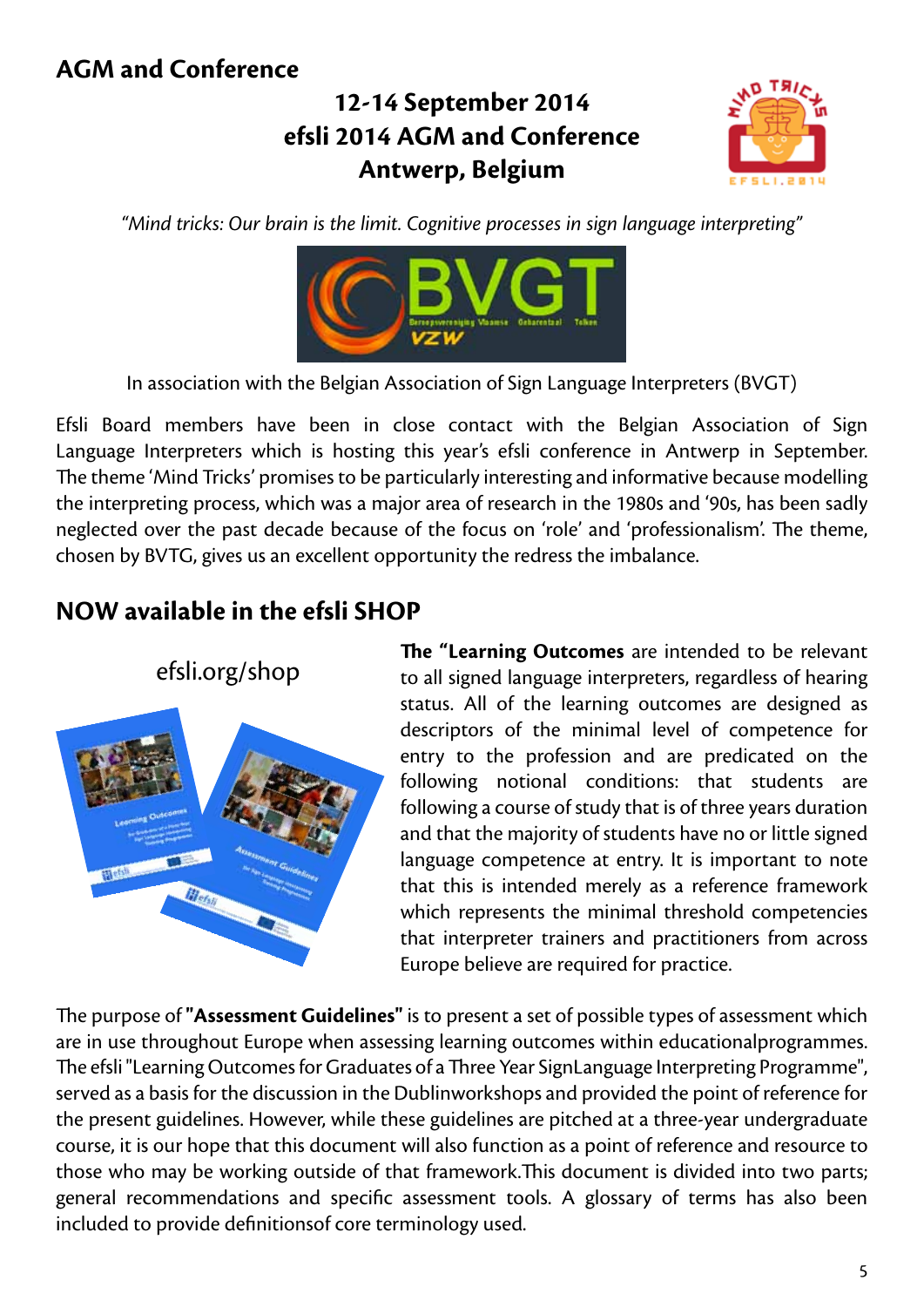#### **AGM and Conference**

## **12-14 September 2014 efsli 2014 AGM and Conference Antwerp, Belgium**



*"Mind tricks: Our brain is the limit. Cognitive processes in sign language interpreting"*



In association with the Belgian Association of Sign Language Interpreters (BVGT)

Efsli Board members have been in close contact with the Belgian Association of Sign Language Interpreters which is hosting this year's efsli conference in Antwerp in September. The theme 'Mind Tricks' promises to be particularly interesting and informative because modelling the interpreting process, which was a major area of research in the 1980s and '90s, has been sadly neglected over the past decade because of the focus on 'role' and 'professionalism'. The theme, chosen by BVTG, gives us an excellent opportunity the redress the imbalance.

## **NOW available in the efsli SHOP**



**The "Learning Outcomes** are intended to be relevant to all signed language interpreters, regardless of hearing status. All of the learning outcomes are designed as descriptors of the minimal level of competence for entry to the profession and are predicated on the following notional conditions: that students are following a course of study that is of three years duration and that the majority of students have no or little signed language competence at entry. It is important to note that this is intended merely as a reference framework which represents the minimal threshold competencies that interpreter trainers and practitioners from across Europe believe are required for practice.

The purpose of **"Assessment Guidelines"** is to present a set of possible types of assessment which are in use throughout Europe when assessing learning outcomes within educationalprogrammes. The efsli "Learning Outcomes for Graduates of a Three Year SignLanguage Interpreting Programme", served as a basis for the discussion in the Dublinworkshops and provided the point of reference for the present guidelines. However, while these guidelines are pitched at a three-year undergraduate course, it is our hope that this document will also function as a point of reference and resource to those who may be working outside of that framework.This document is divided into two parts; general recommendations and specific assessment tools. A glossary of terms has also been included to provide definitionsof core terminology used.